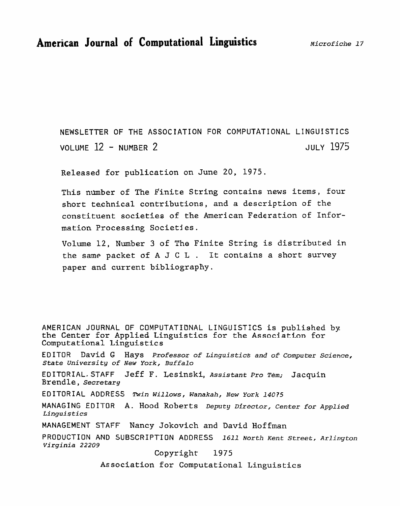**NEWSLETTER OF** THE **ASSOCIATION** FOR **COMPUTATIONAL LINGUISTICS**  VOLUME 12 - NUMBER 2 JULY 1975

**Released for publication on June 20, 1975.** 

**This number of The Finite String contains news** items, **four short technical contributions, and a description of the constituent societies of the American Federation of** Infor**mation Processing** Societies.

**Volume 12, Number 3 of The Finite String is distributed in the same packet** of **A J C L** . **It** contains **a short survey paper and current bibliography.** 

AMERICAN JOURNAL OF COMPUTATIDNAL LINGUISTICS **is published by**  the Center for Applied Linguistics for the Association for **Computational Linguistics** 

ED ITOR David **G** Hays *Professor of Linguistics* **and of** *Computer* **Science,**  *State University* **of** *New York,* **Buffalo** 

**EDITORIAL. STAFF Jeff F. Lesinski,** *Assistant Pro Tern.;* Jacquin *Brendle* , *Secretary* 

**EDITORIAL ADDRESS** *Twin* **Willows, Wanakah, New York 14075** 

**MANAGING EDITOR A.** Hood **Roberts Deputy Director, Center** *for* **Applied**  *Linguistics* 

MANAGEMENT STAFF Nancy Jokovich and David **Hoffman** 

PRODUCTION AND SUBSCRIPTION ADDRESS 1611 *North* **Kent** *Street,* **Arlington**  *~irginia 22209* 

Copyright 1975

**Association for Computational Linguistics**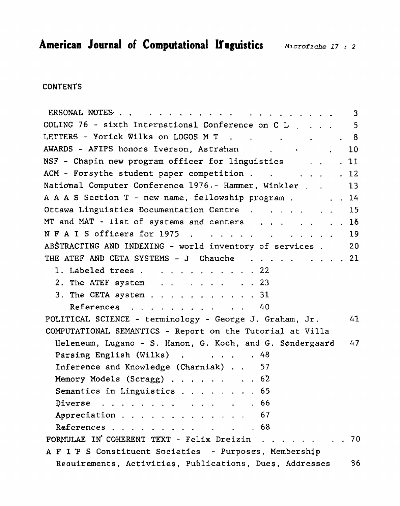### **CONTENTS**

|                                                                | $\mathbf{3}$ |
|----------------------------------------------------------------|--------------|
| COLING 76 - sixth International Conference on C L $\,$ 5       |              |
| LETTERS - Yorick Wilks on LOGOS M T 8                          |              |
| AWARDS - AFIPS honors Iverson, Astrahan (10)                   |              |
| NSF - Chapin new program officer for linguistics<br>. 11       |              |
| ACM - Forsythe student paper competition<br>. 12               |              |
| National Computer Conference 1976.- Hammer, Winkler 13         |              |
| A A A S Section T - new name, fellowship program 14            |              |
| Ottawa Linguistics Documentation Centre 15                     |              |
| MT and MAT - list of systems and centers $\ldots$ 16           |              |
| N F A I S officers for 1975<br>19                              |              |
| ABSTRACTING AND INDEXING - world inventory of services. 20     |              |
| THE ATEF AND CETA SYSTEMS - J Chauche 21                       |              |
| 1. Labeled trees 22                                            |              |
| 2. The ATEF system $\ldots$ $\ldots$ $\ldots$ 23               |              |
| 3. The CETA system 31                                          |              |
| References 40                                                  |              |
| POLITICAL SCIENCE - terminology - George J. Graham, Jr.<br>41  |              |
| COMPUTATIONAL SEMANTICS - Report on the Tutorial at Villa      |              |
| Heleneum, Lugano - S. Hanon, G. Koch, and G. Søndergaard<br>47 |              |
| Parsing English (Wilks) 48                                     |              |
| Inference and Knowledge (Charniak) 57                          |              |
| Memory Models (Scragg) 62                                      |              |
| Semantics in Linguistics 65                                    |              |
| Diverse $\ldots$ $\ldots$ $\ldots$ $\ldots$ $\ldots$ 66        |              |
| Appreciation 67                                                |              |
| References 68                                                  |              |
| FORMULAE IN COHERENT TEXT - Felix Dreizin 70                   |              |
| A F I P S Constituent Societies - Purposes, Membership         |              |
| Requirements, Activities, Publications, Dues, Addresses        | 86           |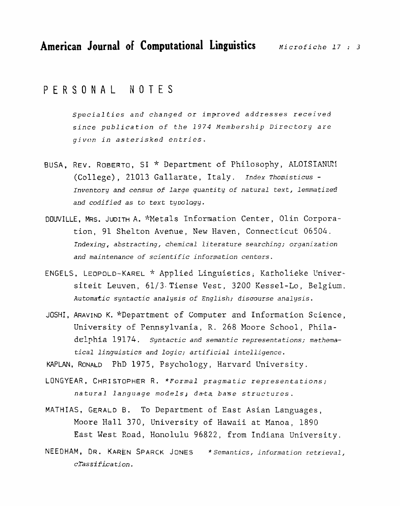PERSONAL NOTES

**~pecialfies** and *changed* or *improved addresses* received since *publication* **of** the 2974 **Membership** Directory *are givt?n* **in** *asterisked entries.* 

- BUSA, REV. ROBERTO, SI \* Department of **Philosophy, ALOISIANLFf (College)** , 21013 **Gallarate,** Italy. Index *Thornisticus* - Inventory *and* **census** of *large* quantity of **natural text,** lemmatized **and** codified as **to** text typolagy.
- DQUVILLE, **MRS. JUDITH** A. **\*Metals** Information Center, Olin Corporation, 91 Shelton **Avenue,** New Haven, **Connecticut** *06504. Indexin.g, abstracting, chemical* **literature** *searching; organization*  **and** *maintenance* **of** scientific *information centers.*
- ENGELS, LEOPOLD-KAREL \* **Applied Linguistics; Katholieke** Cnivessiteit Leuven, 61/3-Tiense Vest, 3200 **Kessel-Lo, Belgium. Automatic** syntactic analysis **of English;** *discourse* analysis.
- JOSH1 , **ARAVIND** K. "Department of **Computer** and **Information Science, University** of **Fennsylvania,** R. 268 Moore School, **Phila**delphia 19174, syntactic and *semahtic* **representations;** mathema*tical linguistics and logic; artificial* **intelligence.**

KAPLAN, RONALD PhD 1975, Psychology, Harvard University.

- LONGYEAR, CHRI STOPHER R. **\*Formal** *pragmatic* representations;  $natural$  language models; data base *structures*.
- MATHIAS, GERALD B. To Department of **East Asian Languages,**  Moore Hall 370, **University** of Hawaii **at** Manoa, 1890 East **West** Road, Honolulu 96822, from Indiana **University.**
- NEEDHAM, DR. **KA~REN** SPARCK JONES \* *Semantics,* **information** retrieval,  $\vec{c}$ *Tassification.*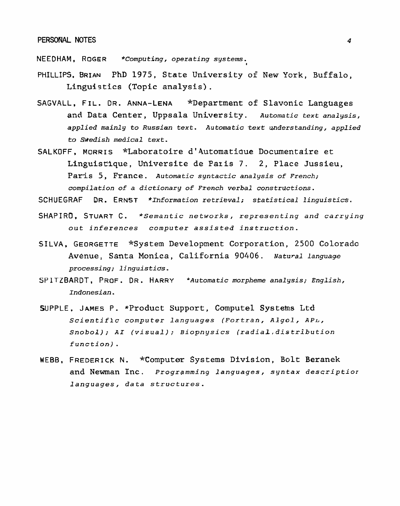#### **PERSONAL NOTES 4**

NEEDHAM, ROGER \*Computing, operating systems.

- **PHILLIPS, BRIAN PhD 1975, State University of New York, Buffalo, Linguistics (Topic analysis)** .
- SAGVALL. FIL. DR. ANNA-LENA **\*Department of Slavonic Languages and Data Center, Uppsala University.** *Automatic text* **analysis, applied** *mainly to Russian text. Automatic* **text** *understanding,* **applied**  *to Swedish medical* **text.**
- **SALKOFF, MORRIS \*Laboratoire d14utomatidue Documentaire et Linguisrique, Universite de Paris 7. 2, Place Jussieu, Paris 5, France.** *Automatic syntactic analysis of French; compilation of a dictionary of French verbal constructions.*

*SCHUEGRAF* **DR. ERNST** *\*Ihformation retrieval; statistical linguistics.* 

- SHAPIRD, STUART **C.** *"Semantic networks, representing and carrying out inferences computer assisted instruction.*
- **SILVA. GEORGETTE** \*System **Development Corporation, 2500 Colorado Avenue, Santa Monica, California 90406.** *Natu~al* **language**  *processing; linguistics.*
- **SP** ITZBARDT, PROF. DR. HARRY *'Automatic morpheme analysis; English,*  **Indonesian.**
- **SUPPLE. JAMES P. \*Product Support, Compute1 Systems Ltd**  *Scientific computer languages* **(Fortran,** *Algol,* **APL,**  *Snobol); AI (visual); Biopnysics (radiaL,distribution function)* .
- **WEBB, FREDERICK N. \*Computer Systems Division, Bolt Beranek and Newman Inc.** *Progrgrnming languages,* **syntax** *descriptior*  **1** *anguages, data structures.*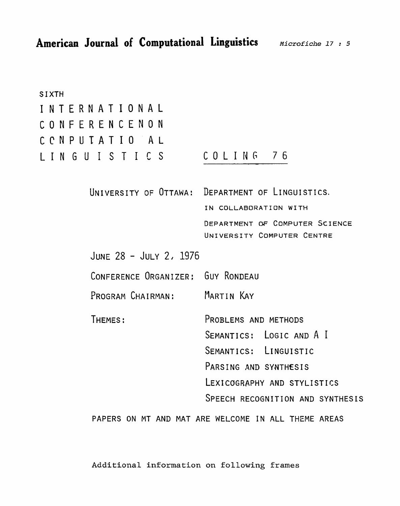| <b>SIXTH</b>                      |                                                  |
|-----------------------------------|--------------------------------------------------|
| INTERNATIONAL                     |                                                  |
| CONFERENCENON                     |                                                  |
| CONPUTATIO AL                     |                                                  |
| LINGUISTICS                       | COLING 76                                        |
|                                   | UNIVERSITY OF OTTAWA: DEPARTMENT OF LINGUISTICS. |
|                                   | IN COLLABORATION WITH                            |
|                                   | DEPARTMENT OF COMPUTER SCIENCE                   |
|                                   | UNIVERSITY COMPUTER CENTRE                       |
| JUNE 28 - JULY 2, 1976            |                                                  |
| CONFERENCE ORGANIZER: GUY RONDEAU |                                                  |
| PROGRAM CHAIRMAN:                 | Martin Kay                                       |
| THEMES:                           | PROBLEMS AND METHODS                             |
|                                   | SEMANTICS: LOGIC AND A I                         |
|                                   | SEMANTICS: LINGUISTIC                            |
|                                   | PARSING AND SYNTHESIS                            |
|                                   | LEXICOGRAPHY AND STYLISTICS                      |
|                                   | SPEECH RECOGNITION AND SYNTHESIS                 |
|                                   |                                                  |

**PAPERS ON** MT **AND MAT ARE** WELCOME IN ALL THEME AREAS

**Additional information on following frames**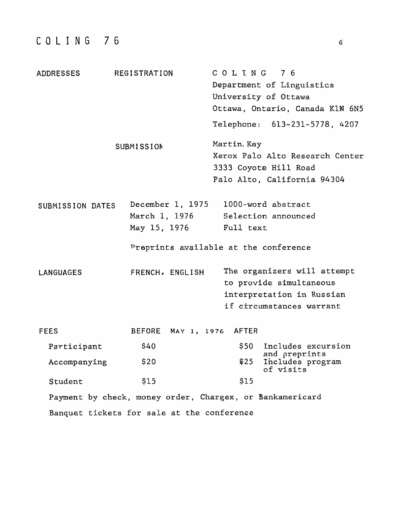| ADDRESSES        | REGISTRATION<br>SUBMISSION                        | COLING 76<br>Department of Linguistics<br>University of Ottawa<br>Ottawa, Ontario, Canada K1N 6N5<br>Telephone: 613-231-5778, 4207<br>Martin, Kay<br>Xerox Palo Alto Research Center |
|------------------|---------------------------------------------------|--------------------------------------------------------------------------------------------------------------------------------------------------------------------------------------|
|                  |                                                   | 3333 Coyote Hill Road<br>Palo Alto, California 94304                                                                                                                                 |
| SUBMISSION DATES | December 1, 1975<br>March 1, 1976<br>May 15, 1976 | 1000-word abstract<br>Selection announced<br>Full text<br>Preprints available at the conference                                                                                      |
| LANGUAGES        | FRENCH, ENGLISH                                   | The organizers will attempt<br>to provide simultaneous<br>interpretation in Russian<br>if circumstances warrant                                                                      |
| <b>FEES</b>      | BEFORE MAY 1, 1976 AFTER                          |                                                                                                                                                                                      |
| Participant      | \$40                                              | \$50 L<br>Includes excursion                                                                                                                                                         |
| Accompanying     | \$20                                              | and preprints<br>\$25<br>Includes program<br>of visits                                                                                                                               |
| Student          | \$15                                              | \$15                                                                                                                                                                                 |
|                  |                                                   | Payment by check, money order, Chargex, or Bankamericard                                                                                                                             |
|                  | Banquet tickets for sale at the conference        |                                                                                                                                                                                      |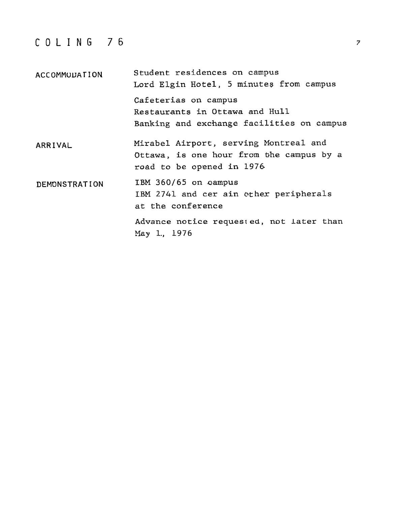# **COLING** 76

| ACCOMMODATION | Student residences on campus<br>Lord Elgin Hotel, 5 minutes from campus                                        |  |
|---------------|----------------------------------------------------------------------------------------------------------------|--|
|               | Cafeterias on campus<br>Restaurants in Ottawa and Hull<br>Banking and exchange facilities on campus            |  |
| ARRIVAL       | Mirabel Airport, serving Montreal and<br>Ottawa, is one hour from the campus by a<br>road to be opened in 1976 |  |
| DEMONSTRATION | IBM 360/65 on campus<br>IBM 2741 and cer ain other peripherals<br>at the conference                            |  |
|               | Advance notice requested, not later than<br>May 1., 1976                                                       |  |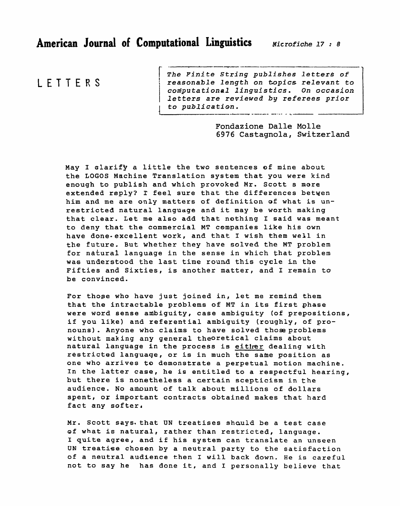### LETTERS

- - --.--- --- -- I *The Finite* **String publishes** *latter&* **of**  <sup>1</sup>**reasonable length on topics relevant to**  I coniputational linguistics. On **occasion**  *letters are reviewed by* **referees prior**  to publication. ---.---- ----- ---- - -,

> **Fondazione Dalle Molle 6976 Castagnola, Switzerland**

May I clarify a little the two sentences of mine about the **LOGOS** Machine Translation system that you were kind enough to publish and which provoked Mr. Scott s mere extended reply? I feel sure that the differences betwen him **and** me are **only matters** of definition of **what** is **un**restricted natural language and it **may** be worth making that clear. Let me also add that nothing **I** said **was** meant to deny that the cammercial MT companies like his own have done-excellent work, and that I wish them well in the future. But Whether they have solved the MT problem for natural language in the sense in which that problem **was** understood the last time round this **cycle** in the Fifties and Sixties, is another matter, and I remain to be convinced.

For thoge who **have** just joined in, let me remind them that the intractable problems of MT in its first phase were word sense ambiguity, case ambiguity (of prepositions, if you like) and referential ambiguity (roughly, of pronouns). Anyone who claims to have solved those problems without making any general theoretical claims about natural language in the process is **either** dealing with restricted languaqe, or is in much the same position **as**  one who arrives **to** demonstrate a perpetual motion machine. In the latter **case,** he is entitled to **a** respectful hearing, but there is nonetheless a certain scepticism in the audience. No amount of **talk** about **millions** of dollars spent, or important contracts obtained **makes** that hard fact any softer,

Mr. Scott says. that UN treatises should be a test case **of** what is natural, rather than restricted, language. I quite agree, and if his **system can translate an unseen UN** treatise chosen by a neutral party to the satisfaction of a neutral audience then I **will back down.** He is careful not to say he has done it, and I personally believe **that**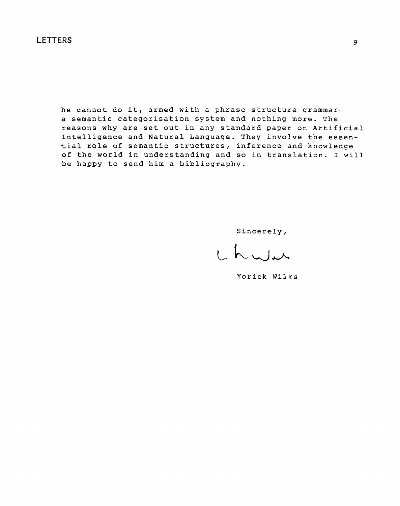**he cannot do it, armed with a phrase structure grammar. a semantic categorisation system and nothing more.** The **reasons** why are **set out in any standard** paper **on Artificial Intelligence and Natural** Language. They involve the **essential role of semantic structures,** inference **and knowledge**  of **the world in understanding and so in** translation. I will be **happy** to **send** him a bibliography.

Sincerely,

L L Wir

Yorick Wilks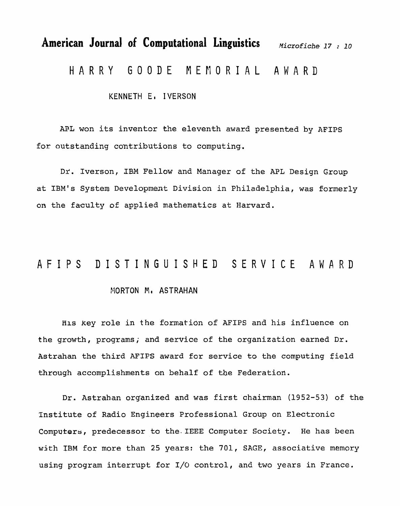# American Journal of Computational Linguistics *Microfiche 17 : 10* HARRY **GOODE MEMORIAL** AWA'RD

KENNETH El IVERSON

AFL won its inventor the eleventh award presented by **AFIPS**  for outstanding contributions to computing,.

**Dr.** Iverson, **IBM Fellow** and Manager of the APL Design Group at **IBM's** System Development Division in Philadelphia, **was** formerly on the faculty of applied mathematics at Harvard.

## **AFIPS DISTINGUISHED** SERVICE AWARD

#### YIORTON **No** ASTRAHAN

His key role in the formation of AFIPS and his influence on the growth, programs; and service of the organization earned Dr. Astrahan the third AFIPS award for service to the computing field through accomplishments on behalf of **the** Federation.

Dr. Astrahan organized and was first chairman (1952-53) of the Institute of Radio Engineers Professional Group on Electronic Computers, predecessor to the.IEEE Computer Society. He has been with IBM for more than 25 years: the 701, SAGE, associative memory using program interrupt for I/O control, and two years in France.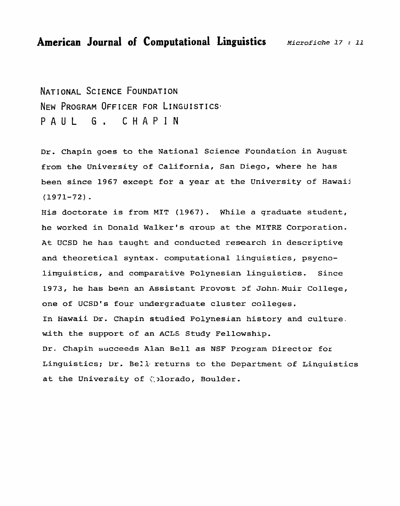NATIONAL SCIENCE FOUNDATION NEW PROGRAM OFFICER FOR LINGUISTICS. PAUL G. CHAPIN

Dr. Chapin goes to the National Science Foundation in August from **the** University of California, San **Diego, where** he has been since 1967 **except** fok **a** year **at the University** of **Hawaii**   $(1971-72)$ .

His doctorate is from MIT **(1967). While a qraduate student, he worked** in Donald **Walker's** sroup at the MITRE Corporation. At UCSD he **has** taught **and conducted research** in **descriptive and** theoretical **syntax.** computational **linguistics,** psycno**lirrguistics, and comparative Polynesian linguistics. Since 1973, he has been an Assistant Provost ~f** John.Muir **College,**  one of UCSD's four undergraduate cluster colleges. **In Hawaii Dr. Chapin studied Polynesian history and culture.**  with **the support of an ACLS Study Fellowship.**  Dr, **Chapih succeeds Alan Bell as NSF Program Director for**  Linguistics;  $\text{Dr.}$  Bell returns to the Department of Linguistics at the University of *colorado*, Boulder.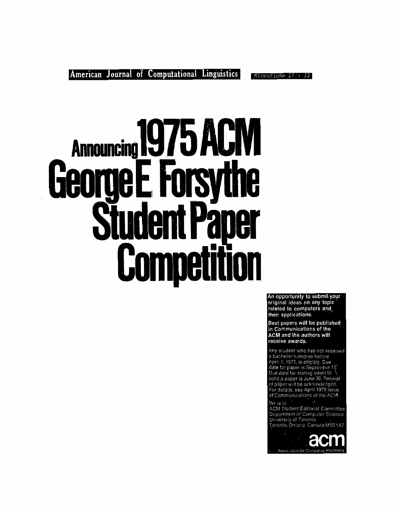Microfiche 17: 12

# Announcing 1975 ACI **ISV**  $\boldsymbol{\theta}$  $\mathbf{a}$ U 5 **Student Pan** Competition

An opportunity to submit your original ideas on any topic related to computers and their applications.

Best papers will be published in Communications of the **ACM and the authors will** receive awards.

Any student who has not received Any student who has not receive<br>a bachelor's, degree before<br>April 1, 1975, is eligible. Due<br>date for paper is September 15.<br>Due date for stating intent to<br>send a paper is June 30. Receipt<br>of paper will be acknowledged.<br>For of Communications of the ACM.

Write to

ACM Student Editorial Committee<br>Department of Computer Science<br>University of Toronto<br>Toronto, Ontario, Canada M5S 1A7

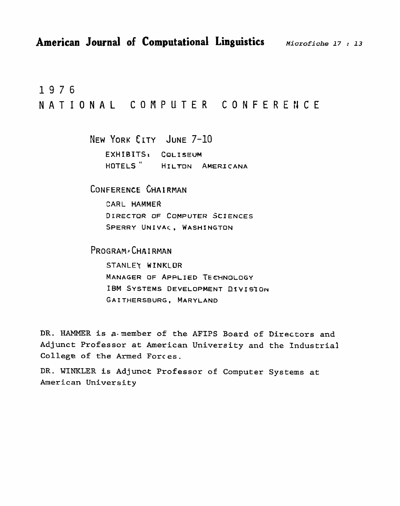1976 NATIONAL COMPUTER CONFERENCE

> **NEW YORK** CLTY **JUNE** 7-10 **EXHIBTTSt CQLISEW HOTELS** " **HI LTDN AMERJ CANA**

CONFERENCE CHAIRMAN

CARL **HAMMER DIRECTQR OF COMPUTER SCIENCES SPERRY UNIVAC, WASHINGTON** 

**PROGRAM 4 CHA** I **RMAN** 

**STANLEY W INKLDR MANAGER OF APPLIED TE C'HNOLOGY**  IBM SYSTEMS DEVELOPMENT DIVISION **GAITHERSBURG, MARYLAND** 

**DR.** HAMMER **is** a.member **of the AFIPS Board of Directors and Adjunct Professor at** American **University** and **the industrial College** of **the Armed** Forces.

**DR.** WINKLER **is Adjunot Professor of Computer Systems at**  American **University**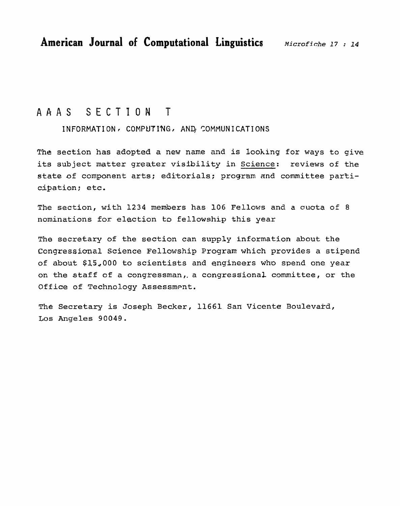## AAAS **SECTION** T

INFORMATION, COMPUTING, AND COMMUNICATIONS

**The section has adopted a** new **name and is looking for ways to give**  its subject **matter greater visibility in Science: reviews of the state of component arts; editorials; program and committee** parti**cipation** ; etc.

The **section, with 1234 members** has 106 **Fellows** and a **ouata of 8 nominations** for **election** to **fellowship** this **year** 

The **secretary** of the **section can** supply **information** about **the Congressional Science Fellowship** Program which **provides** a **stipend of about \$15,000 to scientists and engineers** who **spend one** year **on** the **staff of** a **congressman,.** a congress'ional **committee, or the Office of Technology Assessment.** 

**The Secretary** is **Joseph** Becker, 11661 San Vicente **Boulevard,**  Los Angeles **90049.**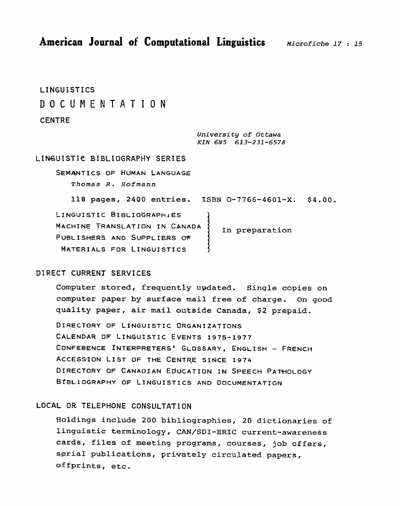**American Journal of Computational Linguistics** *Microfiche 17 : 15* 

**LING,UISTICS DOCUMENTATION** 

#### **CENTRE**

**Universi ty of** *Ottawa KIN* **6N5 613-231-6578** 

#### LINGUISTIC BIBLIOGRAPHY SERIES

SEMANTICS OF HUMAN LANGUAGE *Thomas* **R. Hofmann** 

**118 pages, 2400 entries. ISBN 0-7766-4601-Xi \$4.00.**  LINGUISTIC **BIBLIOGRAPHIES MACHINE TRANSLATION IN CANADA In preparation PUBLISHERS AND SUPPLIERS OF MATERIALS FOR LINGUISTICS** 

#### **DIRECT CURRENT SERVICES**

**Computer stored, frequently updated. Single copies on computer paper by** surface **mail free of** charge. **On good quality paper, air mail outside Canada, \$2 prepaid.** 

**DIRECTORY OF LINGUISTIC ORGANIZATrONS CALENDAR DF LINGUISTIC EVENTS 1975-1977 CONFERENCE INTERPRSTERS~ GLOSSARY, ENGLISH** - **FRENCH**  ACCESSION LIST OF THE CENTRE SINCE 1974 **DIRECTORY OF CANADIAN EDUCATION IN SPEECH PATHOLOGY ~~BLIOGRAPHY OF LINGUISTICS AND DOCUMENTATION** 

#### **LOCAL OR TELEPHONE CONSULTATION**

**Holdings include 200 bibliographies, 20 dictionaries of linguistic terminology, CAN/SDI-ERIC current-awareness cards, files of meeting programs, courses, job offers, serial publications, privately circulated papers, offprints, etc.**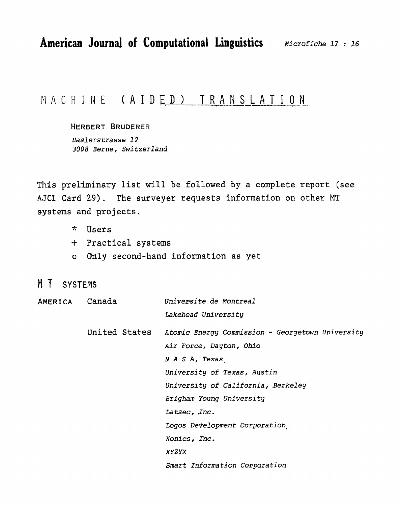## MACHINE (AIDED) TRANSLATION

HERBERT BRUDERER Haslerstrasse 12 3008 Berne, Switzerland

This preliminary list will be followed by a complete report (see AJCI Card 29). The surveyer requests information on other MT systems and projects.

- \* Users
- + Practical systems
- o Only second-hand information as yet
- M T SYSTEMS

| AMERICA Canada |                     | Universite de Montreal                           |  |
|----------------|---------------------|--------------------------------------------------|--|
|                | Lakehead University |                                                  |  |
|                | United States       | Atomic Energy Commission - Georgetown University |  |
|                |                     | Air Force, Dayton, Ohio                          |  |
|                |                     | N A S A, Texas                                   |  |
|                |                     | University of Texas, Austin                      |  |
|                |                     | University of California, Berkeley               |  |
|                |                     | Brigham Young University                         |  |
|                |                     | Latsec, Inc.                                     |  |
|                |                     | Logos Development Corporation                    |  |
|                | Xonics, Inc.        |                                                  |  |
|                | <b>XYZYX</b>        |                                                  |  |
|                |                     | Smart Information Corporation                    |  |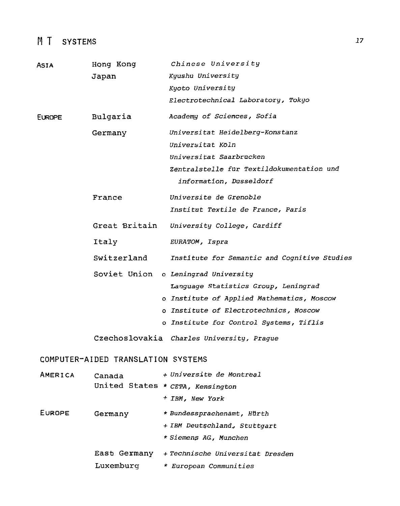# M T SYSTEMS

| <b>ASIA</b>   | Hong Kong                          | Chinese University                           |
|---------------|------------------------------------|----------------------------------------------|
|               | Japan                              | Kyushu University                            |
|               |                                    | Kyoto University                             |
|               |                                    | Electrotechnical Laboratory, Tokyo           |
| <b>EUROPE</b> | Bulgaria                           | Academy of Sciences, Sofia                   |
|               | Germany                            | Universitat Heidelberg-Konstanz              |
|               |                                    | Universitat Koln                             |
|               |                                    | Universitat Saarbrucken                      |
|               |                                    | Zentralstelle fur Textildokumentation und    |
|               |                                    | information, Dusseldorf                      |
|               | France                             | Universite de Grenoble                       |
|               |                                    | Institut Textile de France, Paris            |
|               | Great Britain                      | University College, Cardiff                  |
|               | Italy                              | EURATOM, Ispra                               |
|               | Switzerland                        | Institute for Semantic and Cognitive Studies |
|               |                                    | Soviet Union o Leningrad University          |
|               |                                    | Language Statistics Group, Leningrad         |
|               |                                    | o Institute of Applied Mathematics, Moscow   |
|               |                                    | o Institute of Electrotechnics, Moscow       |
|               |                                    | o Institute for Control Systems, Tiflis      |
|               |                                    | Czechoslovakia Charles University, Prague    |
|               | COMPUTER-AIDED TRANSLATION SYSTEMS |                                              |
| AMERICA       | Canada                             | + Universite de Montreal                     |
|               | United States * CETA, Kensington   |                                              |
|               |                                    | + IBM, New York                              |
| EUROPE        | Germany                            | * Bundessprachenamt, Hürth                   |
|               |                                    | + IBM Deutschland, Stuttgart                 |
|               |                                    | * Siemens AG, Munchen                        |
|               | East Germany                       | + Technische Universitat Dresden             |
|               | Luxemburg                          | * European Communities                       |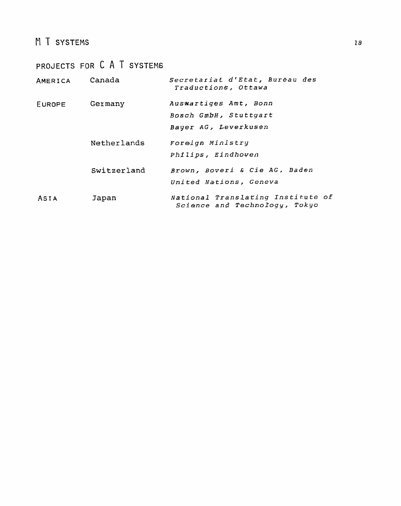## M T SYSTEMS

|         | PROJECTS FOR C A T SYSTEMS |                                                                        |
|---------|----------------------------|------------------------------------------------------------------------|
| AMERICA | Canada                     | Secretariat d'Etat, Bureau des<br>Traductions, Ottawa                  |
| EUROPE  | Germany                    | Auswartiges Amt, Bonn<br>Bosch GmbH, Stuttgart<br>Bayer AG, Leverkusen |
|         | Netherlands                | Foreign Ministry<br>Philips, Eindhoven                                 |
|         | Switzerland                | Brown, Boveri & Cie AG, Baden<br>United Nations, Geneva                |
| ASIA    | Japan                      | National Translating Institute of<br>Science and Technology, Tokyo     |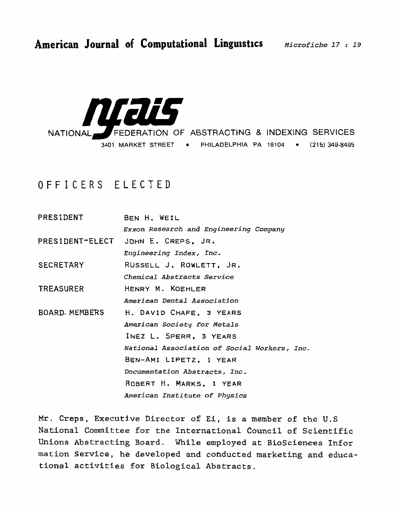

# **OFFICERS** ELECTED

**PRESIDENT BEN H.** WEIL *Exxon* **Research and** *Engineering* **Company PRESIDENT-ELECT** JOHN **E. CREPS,** JR. *Engineering Index, Inc* . **SECRETARY RUSSELL** J. **ROWLETT, JR.**  *Chemical* **Abstracts** *Service*  **TREASURER HENRY M. KOEHLER**  *~merican Rental Association*  **BOARD.** MEMBERS H. **DAVID CHAFE, 3 YEARS American** *Society* **for** *Metals*  **INEZ** L. **SPERR, 3 YEARS**  *National* **Association** *of* **Social Workers,** *3nc.*  **BEN-AMI** LIPETZ, **1** YEAR *Documentation Abstracts, Inc* . *ROBERT* Ha *MARKS, 1 YEAR ~merican Institute* **of Physics** 

**Mr. Creps, Executive** Director **of** Eli, **is a member of the U.S**  National **Committee** for **the International Council of** Scientific Unions **Abstracting** Board. **While employed at** BioScien-ees **Infor mation Service, he developed and cohducted marketing and educational activities for Biological Abstracts.**